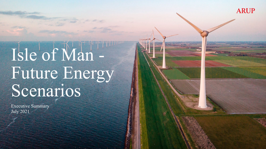# Isle of Man -Future Energy Scenarios

Executive Summary July 2021

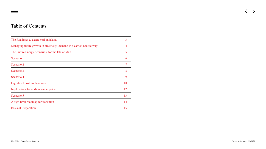- 
- 





### Table of Contents

[The Roadmap to a zero carbon island](#page-2-0) 3

[Managing future growth in electricity demand in a carbon neutral way](#page-3-0)

[The Future Energy Scenarios for the Isle of Man](#page-4-0) 5

[Scenario 1](#page-5-0) 6

[Scenario 2](#page-6-0) 7

[Scenario 3](#page-7-0)

[Scenario 4](#page-8-0) 9

[High-level cost implications](#page-9-0) 10

[Implications for end-consumer price](#page-11-0) 12

[Scenario 5](#page-12-0) 13

[A high level roadmap for transition](#page-13-0) 14

[Basis of Preparation](#page-14-0) 15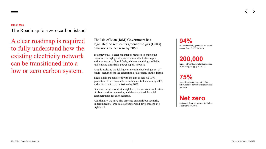A clear roadmap is required to fully understand how the existing electricity network can be transitioned into a low or zero carbon system.

#### <span id="page-2-0"></span>**Isle of Man**

The Roadmap to a zero carbon island

The Isle of Man (IoM) Government has legislated to reduce its greenhouse gas (GHG) emissions to net zero by 2050.

These plans are consistent with the aim to achieve  $75\%$ generation from renewable or carbon neutral sources by 2035, and achieve net zero emissions by 2050.

To achieve this, a clear roadmap is required to enable the transition through greater use of renewable technologies and phasing out of fossil fuels, while maintaining a reliable, resilient and affordable power supply network.

Arup is assisting the IoM government in developing a set of future scenarios for the generation of electricity on the island.

Our team has assessed, at a high level, the network implication of four transition scenarios, and the associated financial considerations for each scenario.

Additionally, we have also assessed an ambitious scenario, underpinned by large-scale offshore wind development, at a high level.

**94%**  of the electricity generated on island comes from CCGT in 2019.

# **200,000**

tonnes of CO2 equivalent emissions from energy supply in 2018.

# **75%**

target for power generation from renewable or carbon neutral sources by 2035.

## **Net zero**

emissions from all sectors, including electricity, by 2050.



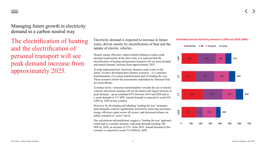The electrification of heating and the electrification of personal transport will see peak demand increase from approximately 2025.

<span id="page-3-0"></span>Managing future growth in electricity demand in a carbon neutral way

> Electricity demand is expected to increase in future years, driven mainly by electrification of heat and the uptake of electric vehicles.

> Despite energy efficiency improvements helping to reduce peak demand requirements in the short term, it is expected that the electrification of heating and personal transport will see peak demand and annual demand increase from approximately 2025.

> To help understand how electricity demand could evolve in the future, we have developed three distinct scenarios  $- (1)$  consumer transformation, (2) system transformation and (3) leading the way. These scenarios mirror the assessments undertaken by National Grid for Great Britain.

A market led by 'consumer transformation' towards the use of electric vehicles and electric heating will see the fastest and largest increase in peak demand – up an estimated 63% between 2019 and 2050 and to a peak demand of 131 MW. Annual demand is expected to reach 636 GWh by 2050 in this scenario.

However, by developing and adopting 'leading the way' strategies, peak demands could be significantly lowered by achieving maximum energy efficiency gains across all sectors, and increased reliance on public transport or 'active' travel.

Our calculations and predictions suggest a 'leading the way' approach could lead to a smaller increase, with peak demand reaching 106 MW by 2050, an increase of 33% from 2019. Annual demand in this scenario is expected to reach 514 GWh by 2050.

**Estimated annual electricity demand in 2050 and 2020 (GWh)**







# **Residential Residential I&C I&C Transport Transport Losses Losses**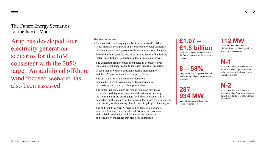Arup has developed four electricity generation scenarios for the IoM, consistent with the 2050 target. An additional offshore wind focused scenario has also been assessed.

<span id="page-4-0"></span>The Future Energy Scenarios for the Isle of Man

#### **The key points are:**

– Each scenario uses varying levels of onshore wind/ offshore wind, biomass, solar power and storage technologies alongside interconnectors which provide resilience and security of supply.

– Two of the four scenarios also have varying levels of behind-themeter (decentralised) generation in the form of solar power.

– The generation from biomass is expected to decreases over time as interconnector capacity increases across all scenarios.

– In each scenario carbon emissions decline significantly

**287 – 934 M** 

happen by 2035, driven mainly by the retirement of

– The faster than anticipated emissions reduction may make it possible to delay some investment decisions by delaying the retirement of the existing gas-fired plant. However, this is dependent on the quantity of hydrogen in the future gas grid and the compatibility of the existing plant to accept hydrogen blended gas.

- 
- 
- 
- and the IoM reaches its net zero target by 2045.
- The vast majority of the emission reductions the existing diesel and gas-fired power plants.
- 
- and regulatory challenges that also need addressing.

– The additional Scenario 5, premised on large scale offshore wind development, indicates that whilst there are economic and societal benefits for the IoM, there are commercial

# **£1.07 – £1.8 billion**

estimated range of total cost across the four scenarios over the transition period.

# **8 – 58%**

range of the island's power demand met by on-island generation across scenarios 1-4.

range of total installed capacity across scenarios 1-4.

# **112 MW**

maximum behind the meter (decentralised) installed capacity of solar power in scenario 4.

# **N-1**

level of resilience in scenarios 1-3, allows the island's power demand to be met despite the loss of single largest generators.

# **N-2**

level of resilience in scenario 4, allows the island's power demand to be met despite the loss of two largest generators.







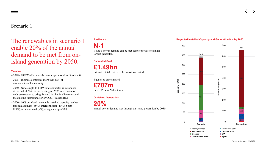The renewables in scenario 1 enable 20% of the annual demand to be met from onisland generation by 2050.

- 2028 28MW of biomass becomes operational as diesels retire.
- 2035 Biomass comprises more than half of on-island installed capacity.
- 2040 New, single 140 MW interconnector is introduced at the end of 2040 as the existing 60 MW interconnector ends use (option to bring forward in the timeline or extend the existing interconnector or CCGT's asset life.)
- 2050 60% on-island renewable installed capacity reached through Biomass (38%), interconnector (41%), Solar  $(13\%)$ , offshore wind  $(5\%)$ , energy storage  $(3\%)$ .

#### **Timeline**

### <span id="page-5-0"></span>Scenario 1

#### **Resilience**

### **N-1**

island's power demand can be met despite the loss of single largest generator.

#### **Estimated Cost**

**£1.49bn**

estimated total cost over the transition period.

Equates to an estimated

**£707m** in Net Present Value terms.

#### **On-island Generation**

**20%**  annual power demand met through on-island generation by 2050.





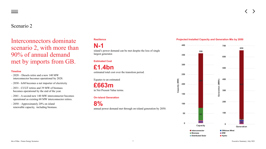# Interconnectors dominate scenario 2, with more than 90% of annual demand met by imports from GB.

#### **Timeline**

- 2028 Diesels retire and a new 140 MW interconnector becomes operational by 2028.
- 2030 IoM becomes a net importer of electricity
- 2031 CCGT retires and 39 MW of biomass becomes operational by the end of the year.
- 2041 A second new 140 MW interconnector becomes operational as existing 60 MW interconnector retires.
- 2050 Approximately 20% on island renewable capacity, including biomass.

### <span id="page-6-0"></span>Scenario 2

#### **Resilience**

**N-1** 

island's power demand can be met despite the loss of single largest generator.

#### **Estimated Cost**

**£1.4bn** estimated total cost over the transition period.

Equates to an estimated

**£663m** in Net Present Value terms.

#### **On-island Generation**

**8%**  annual power demand met through on-island generation by 2050.





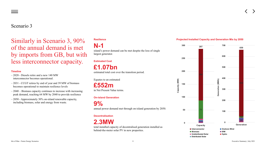Similarly in Scenario 3, 90% of the annual demand is met by imports from GB, but with less interconnector capacity.

#### **Timeline**

- 2028 Diesels retire and a new 140 MW interconnector becomes operational.
- 2031 CCGT retires by end of year and 39 MW of biomass becomes operational to maintain resilience levels
- 2040 Biomass capacity continues to increase with increasing peak demand, reaching 64 MW by 2040 to provide resilience
- 2050 Approximately 30% on-island renewable capacity, including biomass, solar and energy from waste.

### <span id="page-7-0"></span>Scenario 3

#### **Resilience**

**N-1** 

island's power demand can be met despite the loss of single largest generator.

### **Estimated Cost £1.07bn**

estimated total cost over the transition period.

Equates to an estimated

**£552m**  in Net Present Value terms.

#### **On-island Generation**

**9%**  annual power demand met through on-island generation by 2050.

#### **Decentralisation**

**2.3MW** 

total installed capacity of decentralised generation installed as behind-the-meter solar PV in new properties.



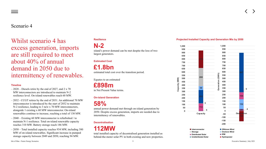

Whilst scenario 4 has excess generation, imports are still required to meet about 40% of annual demand in 2050 due to intermittency of renewables.

#### **Timeline**

- $-2028$  Diesels retire by the end of 2027, and 2 x 70 MW interconnectors are introduced to maintain N-2 resilience level. On-island renewables reach 60 MW.
- 2032 CCGT retires by the end of 2031. An additional 70 MW interconnector is introduced by the start of 2032 to maintain N-2 resilience, leading to 3 new x 70 MW interconnectors, alongside 1 existing x 60 MW interconnector. On-island renewables continue to increase, reaching a total of 130 MW.
- 2040 Existing 60 MW interconnector is refurbished / to maintain N-1 resilience. Total on-island renewable capacity reaches 310 MW. Battery storage reach 186 MW.
- 2050 Total installed capacity reaches 934 MW, including 380 MW of on-island renewables. Significant increase in pumped storage capacity between 2049 and 2050, reaching 94 MW.

### <span id="page-8-0"></span>Scenario 4

#### **Resilience**

### **N-2**

island's power demand can be met despite the loss of two largest generators.

#### **Estimated Cost**

**£1.8bn** 

estimated total cost over the transition period.

Equates to an estimated

**£898m**  in Net Present Value terms.

#### **On-island Generation**

**58%** 

annual power demand met through on-island generation by 2050. Despite excess generation, imports are needed due to intermittency of renewables.

#### **Decentralisation**

**112MW** 

total installed capacity of decentralised generation installed as behind-the-meter solar PV in both existing and new properties.

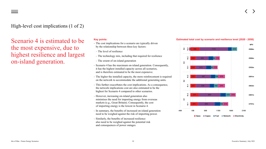<span id="page-9-0"></span>High-level cost implications (1 of 2)

Scenario 4 is estimated to be the most expensive, due to highest resilience and largest on-island generation.

#### **Key points:**





- The cost implications for a scenario are typically driven by the relationship between three key factors:
- The level of resilience
- The technology mix, including that required for resilience
- The extent of on-island generation
- Scenario 4 has the maximum on-island generation. Consequently, it has the highest installed capacity across all scenarios, and is therefore estimated to be the most expensive.
- The higher the installed capacity, the more reinforcement is required on the network to accommodate the additional generating units.
- This further exacerbates the cost implications. As a consequence, the network implications cost are also estimated to be the highest for Scenario 4 compared to other scenarios.
- However, increasing on-island generation also minimises the need for importing energy from overseas markets (e.g., Great Britain). Consequently, the cost of importing energy is the lowest in Scenario 4.
- In summary, the benefits of increased on-island generation need to be weighed against the risk of importing power.
- Similarly, the benefits of increased resilience also need to be weighed against the potential risk and consequences of power outages.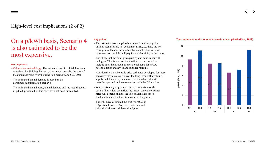### High-level cost implications (2 of 2)

# On a p/kWh basis, Scenario 4 is also estimated to be the most expensive.

#### **Assumptions:**

- Calculation methodology: The estimated cost in p/kWh has been calculated by dividing the sum of the annual costs by the sum of the annual demand over the transition period from 2020-2050.
- The estimated annual demand is based on the consumer transformation scenario.
- The estimated annual costs, annual demand and the resulting cost in p/kWh presented on this page have not been discounted.

#### **Key points:**

– The estimated costs in p/kWh presented on this page for various scenarios are not consumer tariffs, i.e. these are not retail prices. Hence, these estimates do not reflect of what consumers on the IoM will pay for the electricity in the future.

– It is likely that the retail price paid by end consumers will be higher. This is because the retail price is expected to include other items such as operational costs for MUA,

– Additionally, the wholesale price estimates developed for these scenarios may also evolve over the long term with evolving supply and demand dynamics across the whole of north west Europe, and its interconnection with the GB market.

- 
- potential taxes and levies and supplier margins.
- 
- fund and finance the transition over the long term.
- The IoM have estimated the cost for MUA at 5.4p/kWh, however Arup have not reviewed this calculation or validated this figure.

– Whilst this analysis gives a relative comparison of the costs of individual scenarios, the impact on end consumer price will depend on how the Isle of Man chooses to



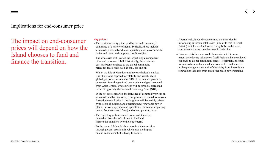### <span id="page-11-0"></span>Implications for end-consumer price

The impact on end-consumer prices will depend on how the island chooses to fund and finance the transition.

#### **Key points:**

– The retail electricity price, paid by the end consumer, is comprised of a variety of items. Typically, these include wholesale price, network cost, operating cost, environmental

– The wholesale cost is often the largest single component of an end consumer's bill. Historically, the wholesale

– Whilst the Isle of Man does not have a wholesale market, it is likely to be exposed to volatility and variability in global gas prices, since about 90% of the island's power is generated from the gas-fired power plant and gas is sourced from Great Britain, where prices will be strongly correlated to the GB gas hub; the National Balancing Point (NBP).

- levies and taxes, and suppliers' profit margins.
- cost has been correlated to the global commodity prices for fossil fuels such as coal, gas and oil.
- 
- 
- The trajectory of future retail prices will therefore depend on how the IoM choses to fund and finance the transition over the longer term.
- For instance, IoM could choose to fund the transition through general taxation, in which case the impact on end consumers' bill is likely to be low.

– In the net zero scenarios, the influence of commodity prices on wholesale and by extension, retail prices is expected to weaken. Instead, the retail price in the long term will be mainly driven by the cost of building and operating new renewable power plants, network upgrades and operations, the cost of importing power from overseas (if any) and other operating costs.

- Alternatively, it could chose to fund the transition by introducing environmental levies (similar to that in Great Britain) which are added to electricity bills. In this case, consumers may see some increase in their bills.
- However, this increase would be counteracted to some extent by reducing reliance on fossil fuels and hence reduced exposure to global commodity prices – essentially, the fuel for renewables such as wind and solar is free and hence it is cheaper to generate a unit of electricity from intermittent renewables than it is from fossil fuel based power stations.



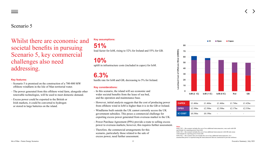Whilst there are economic and societal benefits in pursuing Scenario 5, key commercial challenges also need addressing.

#### **Key features:**

- Scenario 5 is premised on the construction of a 700-800 MW offshore windfarm in the Isle of Man territorial water.
- The power generated from this offshore wind farm, alongside other renewable technologies, will be used to meet domestic demand.
- Excess power could be exported to the British or Irish markets, it could be converted to hydrogen or stored in large batteries on the island.

### <span id="page-12-0"></span>Scenario 5

# **Key assumptions: 51%**



**10%**  uplift in infrastructure costs (included in capex) for IoM.

**6.3%**  hurdle rate for IoM and GB, decreasing to 5% for Ireland.

#### **Key considerations:**

– However, initial analysis suggests that the cost of producing power from offshore wind in IoM is higher than it is in the GB or Ireland.

- In this scenario, the island will see economic and wider societal benefits from the lease of sea bed, and the operation and maintenance base.
- 
- 
- 
- Therefore, the commercial arrangements for this scenario, particularly those related to the sale of excess power, need further assessment.

– Windfarms built outside the UK cannot currently access the UK government subsidies. This poses a commercial challenge for exporting excess power generated from overseas market to the UK.

– Power Purchase Agreement (PPA) provide a route to selling excess power to overseas markets; however, this requires further assessment.

#### **Note:**

IoM (2 IC) – this scenario includes the cost of two additional interconnectors, once each with GB and Ireland, for exporting power from IoM.

IoM (1 IC) – this scenario includes the cost of one additional interconnector with GB only (none with Ireland) for exporting power from IoM.

IoM (0 IC) – this scenario does not include the cost of any additional interconnectors. It is

assumed that power is exported using the interconnectors that are constructed to provide resilience.



| <b>CAPEX</b>   | £1.46 $bn$ | £1.46 $bn$ | £1.46 $bn$               | £1.74 $bn$     | £1.42 $bn$               |
|----------------|------------|------------|--------------------------|----------------|--------------------------|
| <b>OPEX</b>    | £2.50 $bn$ | £2.50 $bn$ | £2.50 $bn$               | £2.17 $bn$     | £2.53 $bn$               |
| <b>IC COST</b> | £0.38bn    | £0.19 $bn$ | $\overline{\phantom{a}}$ | $\blacksquare$ | $\overline{\phantom{a}}$ |

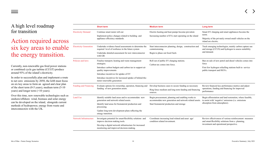



# Action required across six key areas to enable the energy transition.

Currently, non-renewable gas fired power stations or combined cycle gas turbine (CCGT) produce around 93% of the island's electricity.

In order to successfully plan and implement a route to net zero emissions by 2050, the IoM must focus on six key areas to form an agreed and clear plan of the short term (0-5 years), medium term (5-10 years) and longer term (>10 years).

Over this time, new renewable technologies such as onshore/offshore wind, biomass and solar energy can be developed on the island, alongside current methods of hydropower, energy from waste and interconnectors with the UK.

### <span id="page-13-0"></span>A high level roadmap for transition

|                               | <b>Short term</b>                                                                                                                                                                                                                                                                    | <b>Medium term</b>                                                                                                                                      | <b>Long term</b>                                                                                                                                           |
|-------------------------------|--------------------------------------------------------------------------------------------------------------------------------------------------------------------------------------------------------------------------------------------------------------------------------------|---------------------------------------------------------------------------------------------------------------------------------------------------------|------------------------------------------------------------------------------------------------------------------------------------------------------------|
| <b>Electricity Demand</b>     | Continue smart meter roll-out<br>Implement policy changes related to building and<br>appliance efficiency standards.                                                                                                                                                                 | Electric heating and heat pumps become prevalent.<br>Increasing number of EVs start operating on the island                                             | Smart EV charging and smart appliances become the<br>norm.<br>Majority of the privately owned small vehicles on the<br>island are electric.                |
| <b>Electricity Generation</b> | Undertake evidence based assessments to determine the<br>required level of resilience in the future system<br>Undertake detailed assessment for new interconnector<br>with GB.                                                                                                       | Start interconnector planning, design, construction and<br>commissioning.<br>Begin to phase out fossil fuels                                            | Track emerging technologies, mainly carbon capture use<br>and storage (CCUS) and hydrogen to assess suitability<br>and demand.                             |
| Policies and laws             | Finalise transport, heating and waste management<br>strategies.<br>Introduce carbon budgets and carbon tax to support air<br>quality improvements<br>Introduce incentives for uptake of EV<br>Introduce incentives for increased uptake of behind-the-<br>meter renewable generation | Roll out of public EV charging stations.<br>Carbon tax comes into force.                                                                                | Ban on sale of new petrol and diesel vehicles comes into<br>force<br>First few hydrogen refuelling stations built to service<br>public transport and HGVs. |
|                               | Funding and Financing Evaluate options for ownership, operation, financing and Develop business cases to secure funding as necessary<br>funding of new generation assets.                                                                                                            | Ring fence medium and long term funding and financing<br>sources.                                                                                       | Review financial key performance metrics and adjust<br>operations, funding and financing for improved<br>performance                                       |
| <b>Land Use</b>               | Identify suitable land areas and to accommodate new<br>generation and network related assets.<br>Identify land areas for biomaterial production and<br>processing.<br>Update long term development plans reflecting the<br>energy transition.                                        | Begin procurement, planning and enabling works to<br>accommodate new generation and network related assets.<br>Start biomaterial production and storage | Begin afforestation and land restoration, where feasible,<br>to assist with 'negative' emissions (i.e. emissions)<br>absorption from atmosphere).          |
| <b>Network Infrastructure</b> | Investigate potential for smart/flexibility solutions and<br>improve decision making tools.<br>Develop a digital network infrastructure for increased<br>monitoring and improved decision-making.                                                                                    | Coordinate increasing load related and asset age/<br>condition related investment.                                                                      | Review effectiveness of various reinforcement measures<br>and smart/flexibility solutions from a planning,<br>investment and operational perspective.      |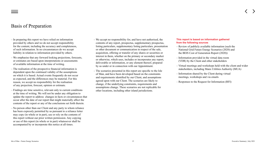- In preparing this report we have relied on information provided by others and we do not accept responsibility for the content, including the accuracy and completeness, of such information. In no circumstances do we accept liability in relation to information provided by others.
- We emphasise that any forward looking projections, forecasts, or estimates are based upon interpretations or assessments of available information at the time of writing.
- The realisation of the prospective financial information is dependent upon the continued validity of the assumptions on which it is based. Actual events frequently do not occur as expected, and the differences may be material. For this reason, we accept no responsibility for the realisation of any projection, forecast, opinion or estimate.
- Findings are time sensitive, relevant only to current conditions at the time of writing. We will not be under any obligation to update the report to address changes in facts or circumstances that occur after the date of our report that might materially affect the contents of the report or any of the conclusions set forth therein.
- No person other than our Client and any party to whom reliance has been expressly permitted by us pursuant to a reliance letter may copy (in whole or in part), use or rely on the contents of this report without our prior written permission. Any copying or use of this report (in whole or in part) whatsoever shall be accompanied by or incorporate this notice at all times.

### <span id="page-14-0"></span>Basis of Preparation

– We accept no responsibility for, and have not authorised, the contents of any report, prospectus, supplementary prospectus, listing particulars, supplementary listing particulars, presentation or other document or communication in respect of the sale, acquisition, offering or transfer of any shares or securities or interest in them, whether on the primary or secondary market or otherwise, which uses, includes or incorporates any report, deliverable or information, or any element thereof, prepared

– The scenarios presented in this report are specific to the Isle of Man, and have been developed based on the constraints and requirements identified by our Client, and assumptions agreed upon with our Client. The scenarios are likely to change, if the underlying constraints, requirements and assumptions change. These scenarios are not replicable for

- by us under or in connection with our Appointment.
- other locations, including other island jurisdictions.

#### **This report is based on information gathered from the following sources**

- Review of publicly available information (such the National Grid Future Energy Scenarios (2020) and the BEIS Cost of Generation Report (2020))
- Information provided in the virtual data room (VDR) by the Client and other stakeholders
- Virtual meetings and workshops held with the client and wider stakeholders, including Manx Utilities Authority (MUA)
- Information shared by the Client during virtual meetings, workshops and via emails
- Responses to the Request for Information (RFI)